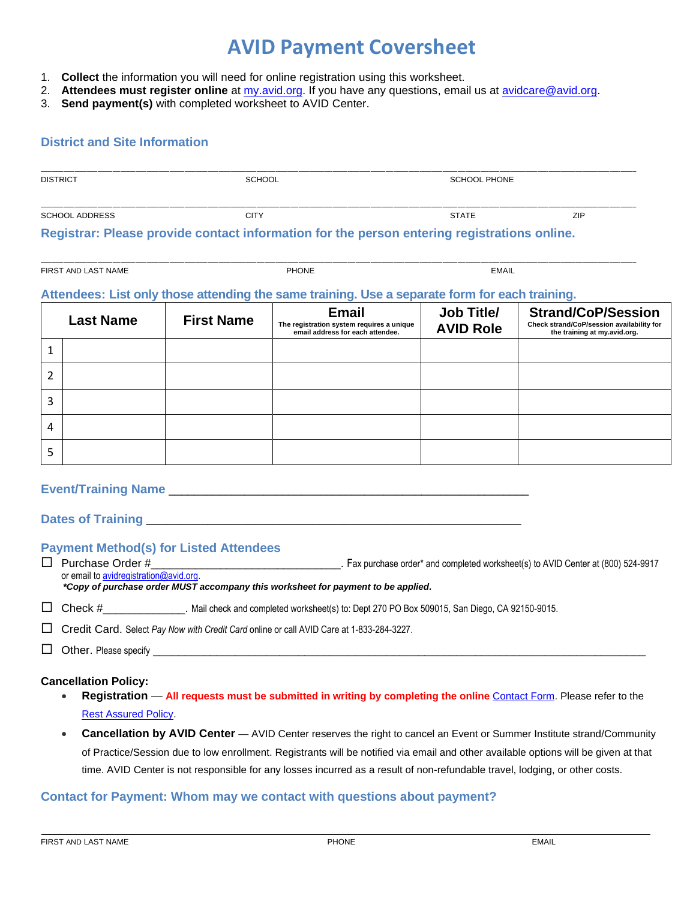# **AVID Payment Coversheet**

- 1. **Collect** the information you will need for online registration using this worksheet.
- 2. **Attendees must register online** at [my.avid.org.](https://my.avid.org/default.aspx) If you have any questions, email us at [avidcare@avid.org.](mailto:avidcare@avid.org)
- 3. **Send payment(s)** with completed worksheet to AVID Center.

### **District and Site Information**

| <b>DISTRICT</b>       | SCHOOL                                                                                      | SCHOOL PHONE |     |  |
|-----------------------|---------------------------------------------------------------------------------------------|--------------|-----|--|
| <b>SCHOOL ADDRESS</b> | <b>CITY</b>                                                                                 | <b>STATE</b> | ZIP |  |
|                       | Registrar: Please provide contact information for the person entering registrations online. |              |     |  |

\_\_\_\_\_\_\_\_\_\_\_\_\_\_\_\_\_\_\_\_\_\_\_\_\_\_\_\_\_\_\_\_\_\_\_\_\_\_\_\_\_\_\_\_\_\_\_\_\_\_\_\_\_\_\_\_\_\_\_\_\_\_\_\_\_\_\_\_\_\_\_\_\_\_\_\_\_\_\_\_\_\_\_\_\_\_\_\_\_\_\_\_\_\_\_\_\_\_\_\_\_\_\_\_\_\_\_\_\_\_\_\_\_\_\_\_\_\_\_\_\_\_\_\_\_\_\_\_\_\_\_\_\_\_\_\_\_\_\_\_\_\_\_\_\_\_\_\_\_\_\_\_\_\_\_\_\_

FIRST AND LAST NAME **EXAMPLE 2008** THE PHONE **PHONE** THE PHONE **EMAIL** 

#### **Attendees: List only those attending the same training. Use a separate form for each training.**

|   | <b>Last Name</b> | <b>First Name</b> | <b>Email</b><br>The registration system requires a unique<br>email address for each attendee. | Job Title/<br><b>AVID Role</b> | <b>Strand/CoP/Session</b><br>Check strand/CoP/session availability for<br>the training at my.avid.org. |
|---|------------------|-------------------|-----------------------------------------------------------------------------------------------|--------------------------------|--------------------------------------------------------------------------------------------------------|
| 1 |                  |                   |                                                                                               |                                |                                                                                                        |
| 2 |                  |                   |                                                                                               |                                |                                                                                                        |
| 3 |                  |                   |                                                                                               |                                |                                                                                                        |
| 4 |                  |                   |                                                                                               |                                |                                                                                                        |
| 5 |                  |                   |                                                                                               |                                |                                                                                                        |

### **Event/Training Name** \_\_\_\_\_\_\_\_\_\_\_\_\_\_\_\_\_\_\_\_\_\_\_\_\_\_\_\_\_\_\_\_\_\_\_\_\_\_\_\_\_\_\_\_\_\_\_\_\_\_\_\_\_\_\_\_\_

Dates of Training **Dates Dates Dates Dates Dates Dates Dates Dates Dates Dates Dates Dates D** 

### **Payment Method(s) for Listed Attendees**

□ Purchase Order # example and completed worksheet(s) to AVID Center at (800) 524-9917 or email to **avidregistration@avid.org** 

*\*Copy of purchase order MUST accompany this worksheet for payment to be applied.*

Check # Mail check and completed worksheet(s) to: Dept 270 PO Box 509015, San Diego, CA 92150-9015.

Credit Card. Select *Pay Now with Credit Card* online or call AVID Care at 1-833-284-3227.

 $\Box$  Other. Please specify

#### **Cancellation Policy:**

- **Registration All requests must be submitted in writing by completing the online** [Contact Form.](https://my.avid.org/event_registration/contact.aspx?id=7751) Please refer to the [Rest Assured Policy.](https://www.avid.org/cancellation-and-refund-policy)
- **Cancellation by AVID Center**  AVID Center reserves the right to cancel an Event or Summer Institute strand/Community of Practice/Session due to low enrollment. Registrants will be notified via email and other available options will be given at that time. AVID Center is not responsible for any losses incurred as a result of non-refundable travel, lodging, or other costs.

## **Contact for Payment: Whom may we contact with questions about payment?**